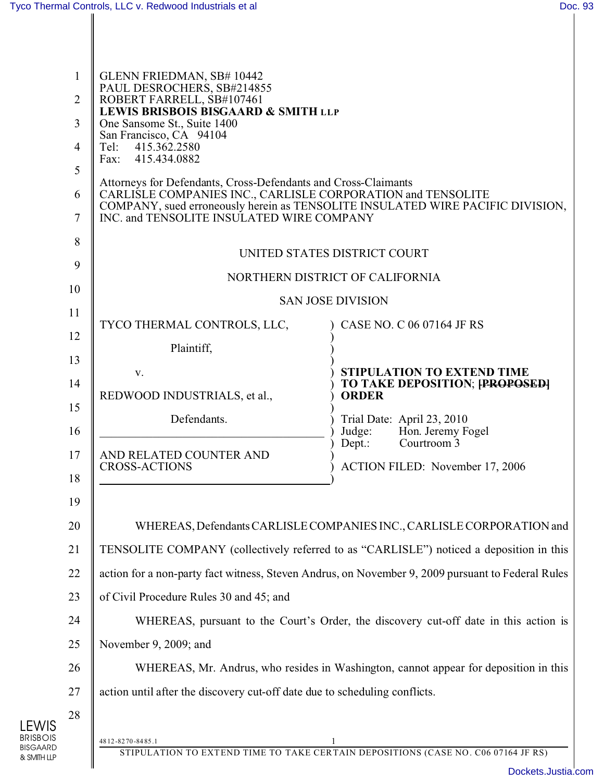LEWIS BRISBOIS BISGAARD & SMITH LLP

| 1<br>2<br>3<br>4<br>5<br>6<br>$\overline{7}$<br>8<br>9   | GLENN FRIEDMAN, SB# 10442<br>PAUL DESROCHERS, SB#214855<br>ROBERT FARRELL, SB#107461<br><b>LEWIS BRISBOIS BISGAARD &amp; SMITH LLP</b><br>One Sansome St., Suite 1400<br>San Francisco, CA 94104<br>415.362.2580<br>Tel:<br>Fax: 415.434.0882<br>Attorneys for Defendants, Cross-Defendants and Cross-Claimants<br>CARLISLE COMPANIES INC., CARLISLE CORPORATION and TENSOLITE<br>COMPANY, sued erroneously herein as TENSOLITE INSULATED WIRE PACIFIC DIVISION,<br>INC. and TENSOLITE INSULATED WIRE COMPANY<br>UNITED STATES DISTRICT COURT<br>NORTHERN DISTRICT OF CALIFORNIA                                            |                                                                                                                    |  |
|----------------------------------------------------------|-----------------------------------------------------------------------------------------------------------------------------------------------------------------------------------------------------------------------------------------------------------------------------------------------------------------------------------------------------------------------------------------------------------------------------------------------------------------------------------------------------------------------------------------------------------------------------------------------------------------------------|--------------------------------------------------------------------------------------------------------------------|--|
| 10                                                       | <b>SAN JOSE DIVISION</b>                                                                                                                                                                                                                                                                                                                                                                                                                                                                                                                                                                                                    |                                                                                                                    |  |
| 11<br>12                                                 | TYCO THERMAL CONTROLS, LLC,<br>Plaintiff,                                                                                                                                                                                                                                                                                                                                                                                                                                                                                                                                                                                   | CASE NO. C 06 07164 JF RS                                                                                          |  |
| 13<br>14<br>15                                           | V.<br>REDWOOD INDUSTRIALS, et al.,                                                                                                                                                                                                                                                                                                                                                                                                                                                                                                                                                                                          | <b>STIPULATION TO EXTEND TIME</b><br>TO TAKE DEPOSITION; [PROPOSED]<br><b>ORDER</b>                                |  |
| 16<br>17<br>18                                           | Defendants.<br>AND RELATED COUNTER AND<br><b>CROSS-ACTIONS</b>                                                                                                                                                                                                                                                                                                                                                                                                                                                                                                                                                              | Trial Date: April 23, 2010<br>Hon. Jeremy Fogel<br>Judge:<br>Dept.: Courtroom 3<br>ACTION FILED: November 17, 2006 |  |
| 19<br>20<br>21<br>22<br>23<br>24<br>25<br>26<br>27<br>28 | WHEREAS, Defendants CARLISLE COMPANIES INC., CARLISLE CORPORATION and<br>TENSOLITE COMPANY (collectively referred to as "CARLISLE") noticed a deposition in this<br>action for a non-party fact witness, Steven Andrus, on November 9, 2009 pursuant to Federal Rules<br>of Civil Procedure Rules 30 and 45; and<br>WHEREAS, pursuant to the Court's Order, the discovery cut-off date in this action is<br>November 9, 2009; and<br>WHEREAS, Mr. Andrus, who resides in Washington, cannot appear for deposition in this<br>action until after the discovery cut-off date due to scheduling conflicts.<br>4812-8270-8485.1 |                                                                                                                    |  |
|                                                          |                                                                                                                                                                                                                                                                                                                                                                                                                                                                                                                                                                                                                             | STIPULATION TO EXTEND TIME TO TAKE CERTAIN DEPOSITIONS (CASE NO. C06 07164 JF RS)                                  |  |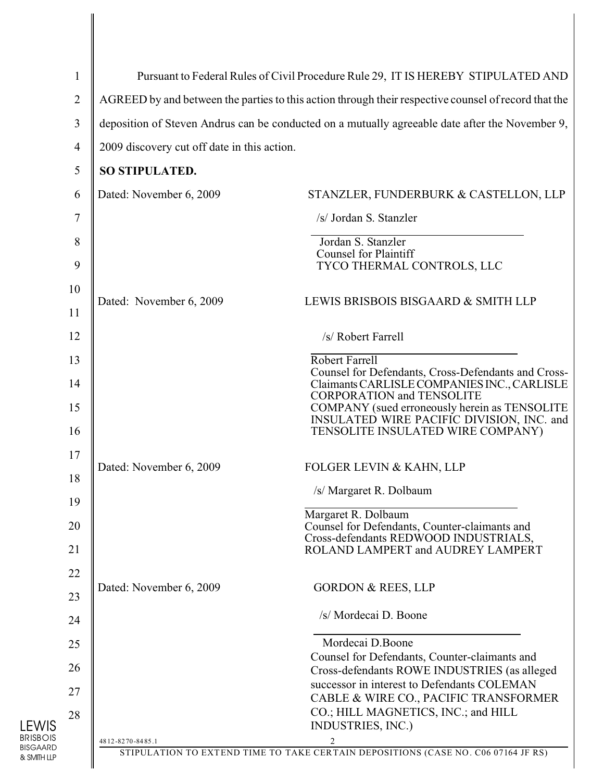| $\mathbf{1}$   | Pursuant to Federal Rules of Civil Procedure Rule 29, IT IS HEREBY STIPULATED AND                    |                                                                                                    |
|----------------|------------------------------------------------------------------------------------------------------|----------------------------------------------------------------------------------------------------|
| $\overline{2}$ | AGREED by and between the parties to this action through their respective counsel of record that the |                                                                                                    |
| 3              | deposition of Steven Andrus can be conducted on a mutually agreeable date after the November 9,      |                                                                                                    |
| $\overline{4}$ | 2009 discovery cut off date in this action.                                                          |                                                                                                    |
| 5              | SO STIPULATED.                                                                                       |                                                                                                    |
| 6              | Dated: November 6, 2009                                                                              | STANZLER, FUNDERBURK & CASTELLON, LLP                                                              |
| 7              |                                                                                                      | /s/ Jordan S. Stanzler                                                                             |
| 8              |                                                                                                      | Jordan S. Stanzler                                                                                 |
| 9              |                                                                                                      | <b>Counsel for Plaintiff</b><br>TYCO THERMAL CONTROLS, LLC                                         |
| 10             | Dated: November 6, 2009                                                                              | LEWIS BRISBOIS BISGAARD & SMITH LLP                                                                |
| 11             |                                                                                                      |                                                                                                    |
| 12             |                                                                                                      | /s/ Robert Farrell                                                                                 |
| 13             |                                                                                                      | Robert Farrell                                                                                     |
| 14             |                                                                                                      | Counsel for Defendants, Cross-Defendants and Cross-<br>Claimants CARLISLE COMPANIES INC., CARLISLE |
| 15             |                                                                                                      | <b>CORPORATION and TENSOLITE</b><br>COMPANY (sued erroneously herein as TENSOLITE                  |
| 16             |                                                                                                      | INSULATED WIRE PACIFIC DIVISION, INC. and<br>TENSOLITE INSULATED WIRE COMPANY)                     |
| 17             |                                                                                                      |                                                                                                    |
| 18             | Dated: November 6, 2009                                                                              | FOLGER LEVIN & KAHN, LLP                                                                           |
| 19             | /s/ Margaret R. Dolbaum                                                                              |                                                                                                    |
| 20             |                                                                                                      | Margaret R. Dolbaum<br>Counsel for Defendants, Counter-claimants and                               |
| 21             |                                                                                                      | Cross-defendants REDWOOD INDUSTRIALS,<br>ROLAND LAMPERT and AUDREY LAMPERT                         |
| 22             |                                                                                                      |                                                                                                    |
| 23             | Dated: November 6, 2009                                                                              | <b>GORDON &amp; REES, LLP</b>                                                                      |
| 24             |                                                                                                      | /s/ Mordecai D. Boone                                                                              |
| 25             |                                                                                                      | Mordecai D.Boone                                                                                   |
| 26             |                                                                                                      | Counsel for Defendants, Counter-claimants and<br>Cross-defendants ROWE INDUSTRIES (as alleged      |
| 27             |                                                                                                      | successor in interest to Defendants COLEMAN<br>CABLE & WIRE CO., PACIFIC TRANSFORMER               |
| 28             |                                                                                                      | CO.; HILL MAGNETICS, INC.; and HILL                                                                |
|                | 4812-8270-8485.1                                                                                     | INDUSTRIES, INC.)                                                                                  |
|                |                                                                                                      | STIPULATION TO EXTEND TIME TO TAKE CERTAIN DEPOSITIONS (CASE NO. C06 07164 JF RS)                  |

LEWIS BRISBOIS BISGAARD & SMITH LLP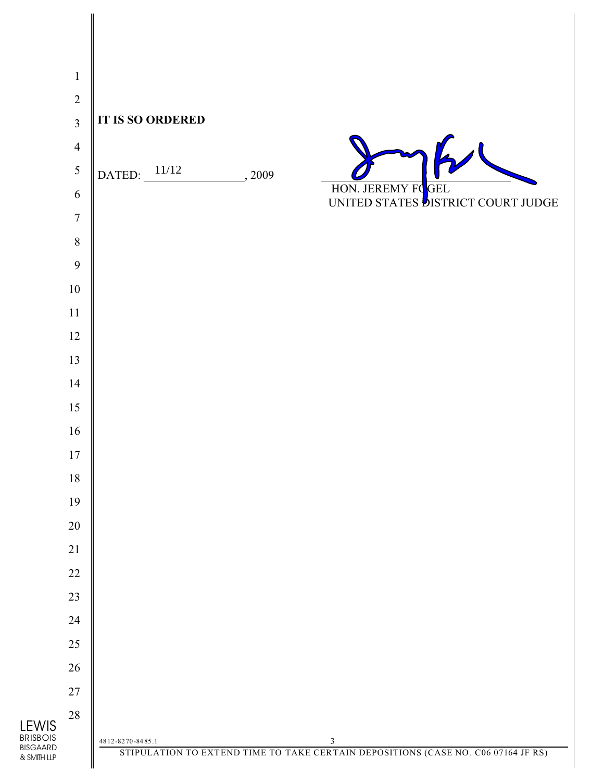| $\mathbf{1}$                    |                                                                                   |
|---------------------------------|-----------------------------------------------------------------------------------|
| $\sqrt{2}$                      |                                                                                   |
| $\overline{3}$                  | <b>IT IS SO ORDERED</b>                                                           |
| $\overline{4}$                  |                                                                                   |
| 5                               | DATED: $11/12$<br>, 2009                                                          |
| $\sqrt{6}$                      | HON. JEREMY FOGEL                                                                 |
| $\boldsymbol{7}$                |                                                                                   |
| $8\,$                           |                                                                                   |
| 9                               |                                                                                   |
| $10\,$                          |                                                                                   |
| $11\,$                          |                                                                                   |
| $12\,$                          |                                                                                   |
| 13                              |                                                                                   |
| 14                              |                                                                                   |
| 15                              |                                                                                   |
| $16\,$                          |                                                                                   |
| $17\,$                          |                                                                                   |
| $18\,$                          |                                                                                   |
| 19                              |                                                                                   |
| $20\,$                          |                                                                                   |
| $21\,$                          |                                                                                   |
| $22\,$<br>$23\,$                |                                                                                   |
| 24                              |                                                                                   |
| $25\,$                          |                                                                                   |
| 26                              |                                                                                   |
| $27\,$                          |                                                                                   |
| $28\,$                          |                                                                                   |
| <b>LEWIS</b><br><b>BRISBOIS</b> | 4812-8270-8485.1<br>3                                                             |
| <b>BISGAARD</b><br>& SMITH LLP  | STIPULATION TO EXTEND TIME TO TAKE CERTAIN DEPOSITIONS (CASE NO. C06 07164 JF RS) |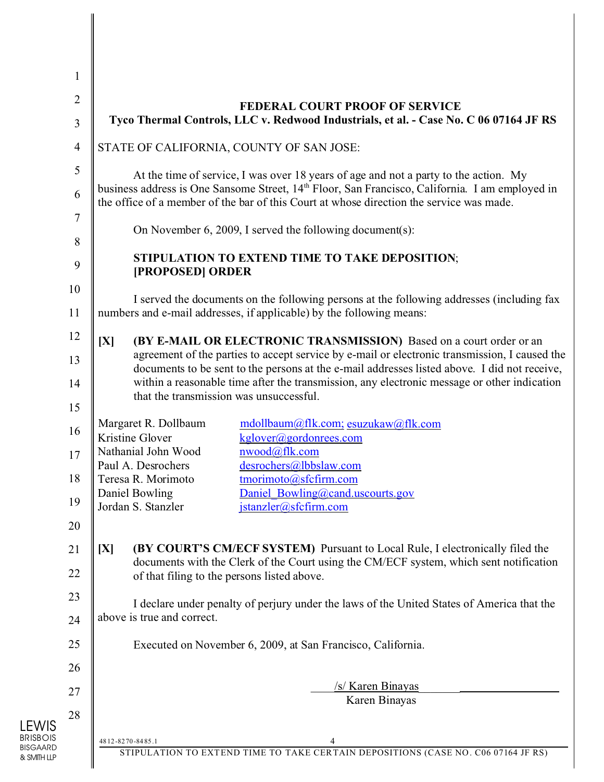| $\mathbf{1}$   |                                                                                                                                                                                                         |  |  |
|----------------|---------------------------------------------------------------------------------------------------------------------------------------------------------------------------------------------------------|--|--|
| $\mathbf{2}$   | <b>FEDERAL COURT PROOF OF SERVICE</b>                                                                                                                                                                   |  |  |
| 3              | Tyco Thermal Controls, LLC v. Redwood Industrials, et al. - Case No. C 06 07164 JF RS                                                                                                                   |  |  |
| $\overline{4}$ | STATE OF CALIFORNIA, COUNTY OF SAN JOSE:                                                                                                                                                                |  |  |
| $\mathfrak{S}$ | At the time of service, I was over 18 years of age and not a party to the action. My                                                                                                                    |  |  |
| 6              | business address is One Sansome Street, 14 <sup>th</sup> Floor, San Francisco, California. I am employed in<br>the office of a member of the bar of this Court at whose direction the service was made. |  |  |
| 7              | On November 6, 2009, I served the following document(s):                                                                                                                                                |  |  |
| 8              | STIPULATION TO EXTEND TIME TO TAKE DEPOSITION;                                                                                                                                                          |  |  |
| 9              | [PROPOSED] ORDER                                                                                                                                                                                        |  |  |
| 10             | I served the documents on the following persons at the following addresses (including fax<br>numbers and e-mail addresses, if applicable) by the following means:                                       |  |  |
| 11             |                                                                                                                                                                                                         |  |  |
| 12             | [X]<br>(BY E-MAIL OR ELECTRONIC TRANSMISSION) Based on a court order or an                                                                                                                              |  |  |
| 13             | agreement of the parties to accept service by e-mail or electronic transmission, I caused the<br>documents to be sent to the persons at the e-mail addresses listed above. I did not receive,           |  |  |
| 14             | within a reasonable time after the transmission, any electronic message or other indication<br>that the transmission was unsuccessful.                                                                  |  |  |
| 15             |                                                                                                                                                                                                         |  |  |
| 16             | Margaret R. Dollbaum<br>mdollbaum@flk.com; esuzukaw@flk.com<br>Kristine Glover<br>kglover@gordonrees.com                                                                                                |  |  |
| 17             | Nathanial John Wood<br>nwood@flk.com<br>Paul A. Desrochers<br>desrochers@lbbslaw.com                                                                                                                    |  |  |
| 18             | Teresa R. Morimoto<br>tmorimoto@sfcfirm.com                                                                                                                                                             |  |  |
| 19             | Daniel Bowling<br>Daniel Bowling@cand.uscourts.gov<br>Jordan S. Stanzler<br>${\rm jstanzler}(a)$ sfcfirm.com                                                                                            |  |  |
| 20             |                                                                                                                                                                                                         |  |  |
| 21             | <b>(BY COURT'S CM/ECF SYSTEM)</b> Pursuant to Local Rule, I electronically filed the<br>[X]                                                                                                             |  |  |
| 22             | documents with the Clerk of the Court using the CM/ECF system, which sent notification<br>of that filing to the persons listed above.                                                                   |  |  |
| 23             | I declare under penalty of perjury under the laws of the United States of America that the                                                                                                              |  |  |
| 24             | above is true and correct.                                                                                                                                                                              |  |  |
| 25             | Executed on November 6, 2009, at San Francisco, California.                                                                                                                                             |  |  |
| 26             |                                                                                                                                                                                                         |  |  |
| 27             | /s/ Karen Binayas                                                                                                                                                                                       |  |  |
| 28             | Karen Binayas                                                                                                                                                                                           |  |  |
|                | 4812-8270-8485.1                                                                                                                                                                                        |  |  |
|                | STIPULATION TO EXTEND TIME TO TAKE CERTAIN DEPOSITIONS (CASE NO. C06 07164 JF RS)                                                                                                                       |  |  |

LEWIS BRISBOIS BISGAARD & SMITH LLP